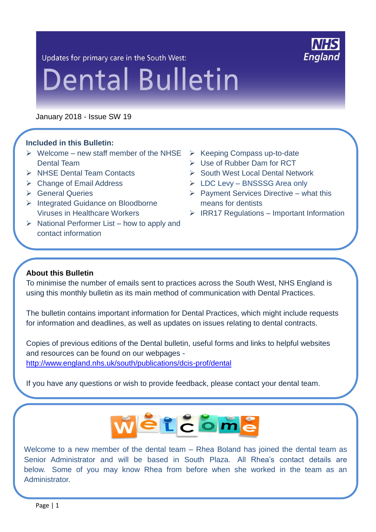Updates for primary care in the South West:



# **Dental Bulletin**

January 2018 - Issue SW 19

#### **Included in this Bulletin:**

- $\triangleright$  Welcome new staff member of the NHSE  $\triangleright$  Keeping Compass up-to-date Dental Team
- $\triangleright$  NHSF Dental Team Contacts
- $\triangleright$  Change of Email Address
- **► General Queries**
- > Integrated Guidance on Bloodborne Viruses in Healthcare Workers
- $\triangleright$  National Performer List how to apply and contact information
- 
- Use of Rubber Dam for RCT
- $\triangleright$  South West Local Dental Network
- LDC Levy BNSSSG Area only
- $\triangleright$  Payment Services Directive what this means for dentists
- $\triangleright$  IRR17 Regulations Important Information

#### **About this Bulletin**

L.

To minimise the number of emails sent to practices across the South West, NHS England is using this monthly bulletin as its main method of communication with Dental Practices.

The bulletin contains important information for Dental Practices, which might include requests for information and deadlines, as well as updates on issues relating to dental contracts.

Copies of previous editions of the Dental bulletin, useful forms and links to helpful websites and resources can be found on our webpages <http://www.england.nhs.uk/south/publications/dcis-prof/dental>

If you have any questions or wish to provide feedback, please contact your dental team.



Welcome to a new member of the dental team – Rhea Boland has joined the dental team as Senior Administrator and will be based in South Plaza. All Rhea's contact details are below. Some of you may know Rhea from before when she worked in the team as an Administrator.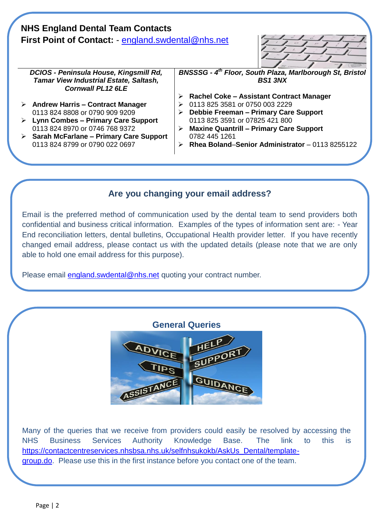| <b>NHS England Dental Team Contacts</b><br><b>First Point of Contact: - england.swdental@nhs.net</b> |                                                                           |   |                                                                 |
|------------------------------------------------------------------------------------------------------|---------------------------------------------------------------------------|---|-----------------------------------------------------------------|
|                                                                                                      | DCIOS - Peninsula House, Kingsmill Rd,                                    |   | <b>BNSSSG - 4th Floor, South Plaza, Marlborough St, Bristol</b> |
|                                                                                                      | <b>Tamar View Industrial Estate, Saltash,</b><br><b>Cornwall PL12 6LE</b> |   | <b>BS1 3NX</b>                                                  |
|                                                                                                      |                                                                           | ➤ | Rachel Coke - Assistant Contract Manager                        |
|                                                                                                      | $\triangleright$ Andrew Harris – Contract Manager                         |   | 0113 825 3581 or 0750 003 2229                                  |
|                                                                                                      | 0113 824 8808 or 0790 909 9209                                            | ➤ | Debbie Freeman – Primary Care Support                           |
|                                                                                                      | <b>Lynn Combes - Primary Care Support</b>                                 |   | 0113 825 3591 or 07825 421 800                                  |
|                                                                                                      | 0113 824 8970 or 0746 768 9372                                            |   | <b>Maxine Quantrill - Primary Care Support</b>                  |
|                                                                                                      | $\triangleright$ Sarah McFarlane – Primary Care Support                   |   | 0782 445 1261                                                   |
|                                                                                                      | 0113 824 8799 or 0790 022 0697                                            |   | Rhea Boland-Senior Administrator - 0113 8255122                 |
|                                                                                                      |                                                                           |   |                                                                 |

# **Are you changing your email address?**

Email is the preferred method of communication used by the dental team to send providers both confidential and business critical information. Examples of the types of information sent are: - Year End reconciliation letters, dental bulletins, Occupational Health provider letter. If you have recently changed email address, please contact us with the updated details (please note that we are only able to hold one email address for this purpose).

Please email **england.swdental@nhs.net** quoting your contract number.

## **General Queries**



Many of the queries that we receive from providers could easily be resolved by accessing the NHS Business Services Authority Knowledge Base. The link to this is [https://contactcentreservices.nhsbsa.nhs.uk/selfnhsukokb/AskUs\\_Dental/template](https://contactcentreservices.nhsbsa.nhs.uk/selfnhsukokb/AskUs_Dental/template-group.do)[group.do.](https://contactcentreservices.nhsbsa.nhs.uk/selfnhsukokb/AskUs_Dental/template-group.do) Please use this in the first instance before you contact one of the team.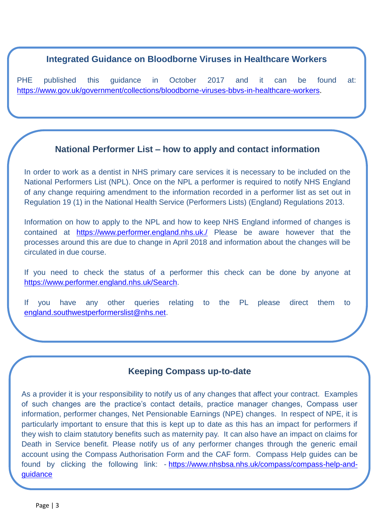#### **Integrated Guidance on Bloodborne Viruses in Healthcare Workers**

PHE published this guidance in October 2017 and it can be found at: [https://www.gov.uk/government/collections/bloodborne-viruses-bbvs-in-healthcare-workers.](https://www.gov.uk/government/collections/bloodborne-viruses-bbvs-in-healthcare-workers)

## **National Performer List – how to apply and contact information**

In order to work as a dentist in NHS primary care services it is necessary to be included on the National Performers List (NPL). Once on the NPL a performer is required to notify NHS England of any change requiring amendment to the information recorded in a performer list as set out in Regulation 19 (1) in the National Health Service (Performers Lists) (England) Regulations 2013.

Information on how to apply to the NPL and how to keep NHS England informed of changes is contained at <https://www.performer.england.nhs.uk./> Please be aware however that the processes around this are due to change in April 2018 and information about the changes will be circulated in due course.

If you need to check the status of a performer this check can be done by anyone at [https://www.performer.england.nhs.uk/Search.](https://www.performer.england.nhs.uk/Search)

If you have any other queries relating to the PL please direct them to [england.southwestperformerslist@nhs.net.](mailto:england.southwestperformerslist@nhs.net)

## **Keeping Compass up-to-date**

As a provider it is your responsibility to notify us of any changes that affect your contract. Examples of such changes are the practice's contact details, practice manager changes, Compass user information, performer changes, Net Pensionable Earnings (NPE) changes. In respect of NPE, it is particularly important to ensure that this is kept up to date as this has an impact for performers if they wish to claim statutory benefits such as maternity pay. It can also have an impact on claims for Death in Service benefit. Please notify us of any performer changes through the generic email account using the Compass Authorisation Form and the CAF form. Compass Help guides can be found by clicking the following link: - [https://www.nhsbsa.nhs.uk/compass/compass-help-and](https://www.nhsbsa.nhs.uk/compass/compass-help-and-guidance)[guidance](https://www.nhsbsa.nhs.uk/compass/compass-help-and-guidance)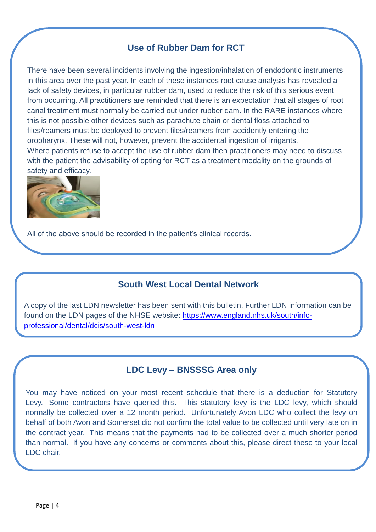## **Use of Rubber Dam for RCT**

There have been several incidents involving the ingestion/inhalation of endodontic instruments in this area over the past year. In each of these instances root cause analysis has revealed a lack of safety devices, in particular rubber dam, used to reduce the risk of this serious event from occurring. All practitioners are reminded that there is an expectation that all stages of root canal treatment must normally be carried out under rubber dam. In the RARE instances where this is not possible other devices such as parachute chain or dental floss attached to files/reamers must be deployed to prevent files/reamers from accidently entering the oropharynx. These will not, however, prevent the accidental ingestion of irrigants. Where patients refuse to accept the use of rubber dam then practitioners may need to discuss with the patient the advisability of opting for RCT as a treatment modality on the grounds of safety and efficacy.



All of the above should be recorded in the patient's clinical records.

## **South West Local Dental Network**

A copy of the last LDN newsletter has been sent with this bulletin. Further LDN information can be found on the LDN pages of the NHSE website: [https://www.england.nhs.uk/south/info](https://www.england.nhs.uk/south/info-professional/dental/dcis/south-west-ldn)[professional/dental/dcis/south-west-ldn](https://www.england.nhs.uk/south/info-professional/dental/dcis/south-west-ldn)

## **LDC Levy – BNSSSG Area only**

You may have noticed on your most recent schedule that there is a deduction for Statutory Levy. Some contractors have queried this. This statutory levy is the LDC levy, which should normally be collected over a 12 month period. Unfortunately Avon LDC who collect the levy on behalf of both Avon and Somerset did not confirm the total value to be collected until very late on in the contract year. This means that the payments had to be collected over a much shorter period than normal. If you have any concerns or comments about this, please direct these to your local LDC chair.